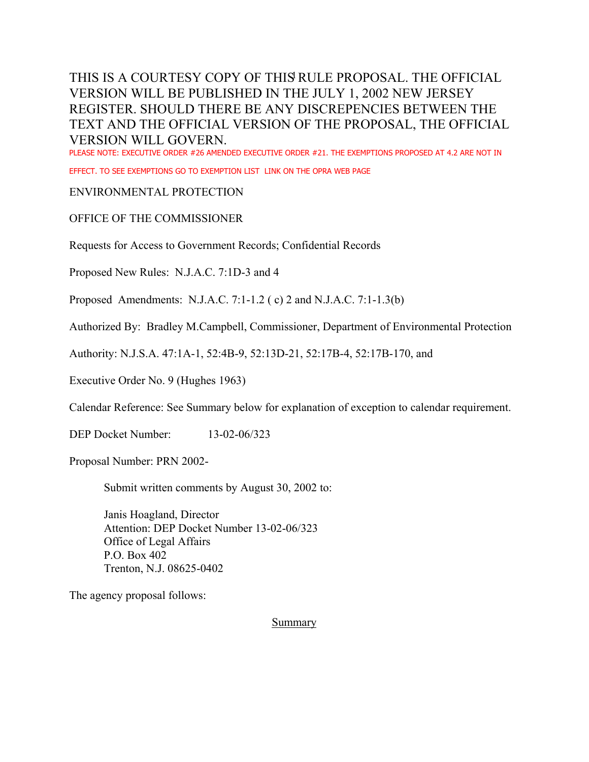PLEASE NOTE: EXECUTIVE ORDER #26 AMENDED EXECUTIVE ORDER #21. THE EXEMPTIONS PROPOSED AT 4.2 ARE NOT IN

EFFECT. TO SEE EXEMPTIONS GO TO EXEMPTION LIST LINK ON THE OPRA WEB PAGE

#### ENVIRONMENTAL PROTECTION

#### OFFICE OF THE COMMISSIONER

Requests for Access to Government Records; Confidential Records

Proposed New Rules: N.J.A.C. 7:1D-3 and 4

Proposed Amendments: N.J.A.C. 7:1-1.2 ( c) 2 and N.J.A.C. 7:1-1.3(b)

Authorized By: Bradley M.Campbell, Commissioner, Department of Environmental Protection

Authority: N.J.S.A. 47:1A-1, 52:4B-9, 52:13D-21, 52:17B-4, 52:17B-170, and

Executive Order No. 9 (Hughes 1963)

Calendar Reference: See Summary below for explanation of exception to calendar requirement.

DEP Docket Number: 13-02-06/323

Proposal Number: PRN 2002-

Submit written comments by August 30, 2002 to:

Janis Hoagland, Director Attention: DEP Docket Number 13-02-06/323 Office of Legal Affairs P.O. Box 402 Trenton, N.J. 08625-0402

The agency proposal follows:

**Summary**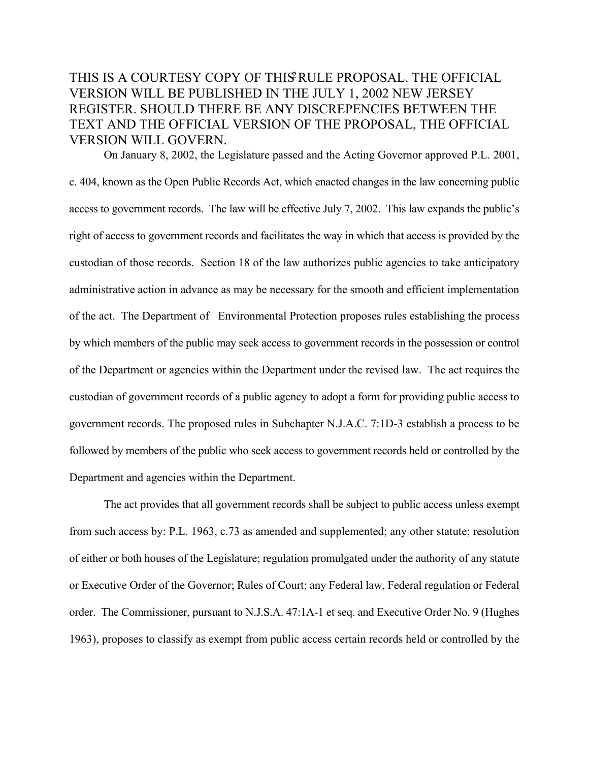On January 8, 2002, the Legislature passed and the Acting Governor approved P.L. 2001, c. 404, known as the Open Public Records Act, which enacted changes in the law concerning public access to government records. The law will be effective July 7, 2002. This law expands the public's right of access to government records and facilitates the way in which that access is provided by the custodian of those records. Section 18 of the law authorizes public agencies to take anticipatory administrative action in advance as may be necessary for the smooth and efficient implementation of the act. The Department of Environmental Protection proposes rules establishing the process by which members of the public may seek access to government records in the possession or control of the Department or agencies within the Department under the revised law. The act requires the custodian of government records of a public agency to adopt a form for providing public access to government records. The proposed rules in Subchapter N.J.A.C. 7:1D-3 establish a process to be followed by members of the public who seek access to government records held or controlled by the Department and agencies within the Department.

The act provides that all government records shall be subject to public access unless exempt from such access by: P.L. 1963, c.73 as amended and supplemented; any other statute; resolution of either or both houses of the Legislature; regulation promulgated under the authority of any statute or Executive Order of the Governor; Rules of Court; any Federal law, Federal regulation or Federal order. The Commissioner, pursuant to N.J.S.A. 47:1A-1 et seq. and Executive Order No. 9 (Hughes 1963), proposes to classify as exempt from public access certain records held or controlled by the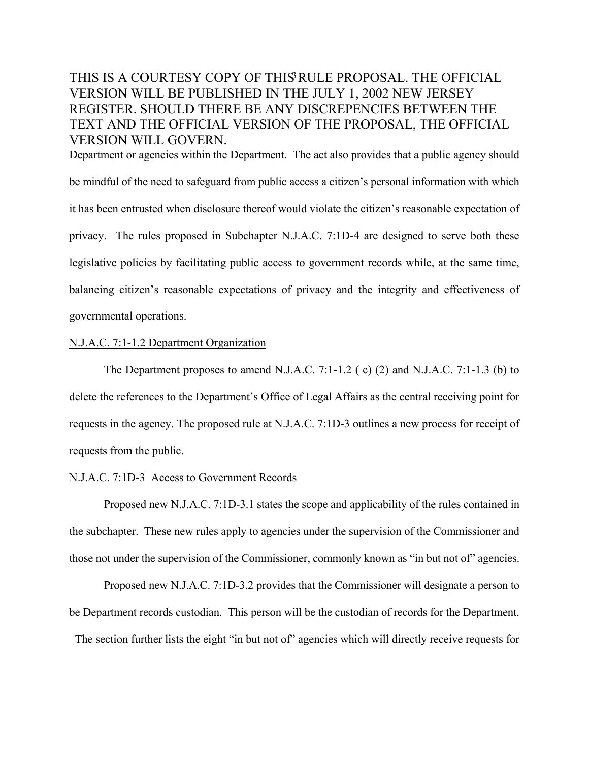Department or agencies within the Department. The act also provides that a public agency should be mindful of the need to safeguard from public access a citizen's personal information with which it has been entrusted when disclosure thereof would violate the citizen's reasonable expectation of privacy. The rules proposed in Subchapter N.J.A.C. 7:1D-4 are designed to serve both these legislative policies by facilitating public access to government records while, at the same time, balancing citizen's reasonable expectations of privacy and the integrity and effectiveness of governmental operations.

#### N.J.A.C. 7:1-1.2 Department Organization

The Department proposes to amend N.J.A.C. 7:1-1.2 ( c) (2) and N.J.A.C. 7:1-1.3 (b) to delete the references to the Department's Office of Legal Affairs as the central receiving point for requests in the agency. The proposed rule at N.J.A.C. 7:1D-3 outlines a new process for receipt of requests from the public.

#### N.J.A.C. 7:1D-3 Access to Government Records

Proposed new N.J.A.C. 7:1D-3.1 states the scope and applicability of the rules contained in the subchapter. These new rules apply to agencies under the supervision of the Commissioner and those not under the supervision of the Commissioner, commonly known as "in but not of" agencies.

Proposed new N.J.A.C. 7:1D-3.2 provides that the Commissioner will designate a person to be Department records custodian. This person will be the custodian of records for the Department. The section further lists the eight "in but not of" agencies which will directly receive requests for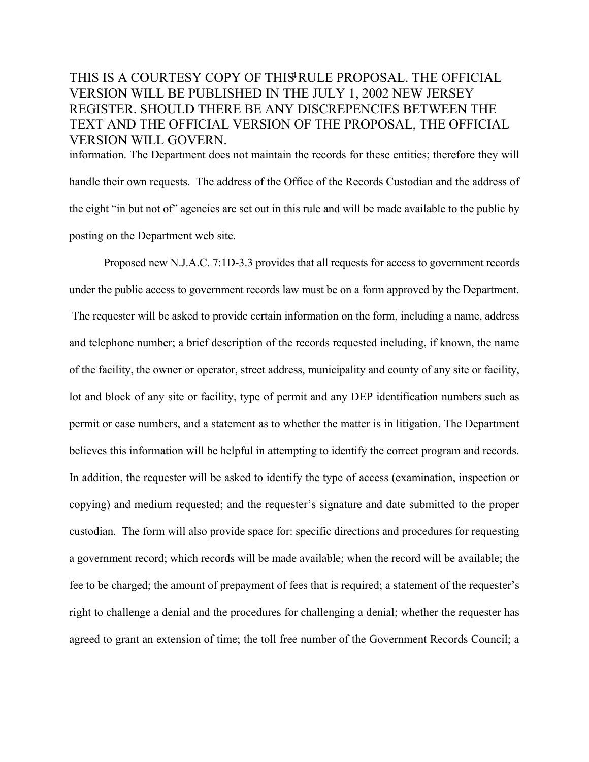information. The Department does not maintain the records for these entities; therefore they will handle their own requests. The address of the Office of the Records Custodian and the address of the eight "in but not of" agencies are set out in this rule and will be made available to the public by posting on the Department web site.

Proposed new N.J.A.C. 7:1D-3.3 provides that all requests for access to government records under the public access to government records law must be on a form approved by the Department. The requester will be asked to provide certain information on the form, including a name, address and telephone number; a brief description of the records requested including, if known, the name of the facility, the owner or operator, street address, municipality and county of any site or facility, lot and block of any site or facility, type of permit and any DEP identification numbers such as permit or case numbers, and a statement as to whether the matter is in litigation. The Department believes this information will be helpful in attempting to identify the correct program and records. In addition, the requester will be asked to identify the type of access (examination, inspection or copying) and medium requested; and the requester's signature and date submitted to the proper custodian. The form will also provide space for: specific directions and procedures for requesting a government record; which records will be made available; when the record will be available; the fee to be charged; the amount of prepayment of fees that is required; a statement of the requester's right to challenge a denial and the procedures for challenging a denial; whether the requester has agreed to grant an extension of time; the toll free number of the Government Records Council; a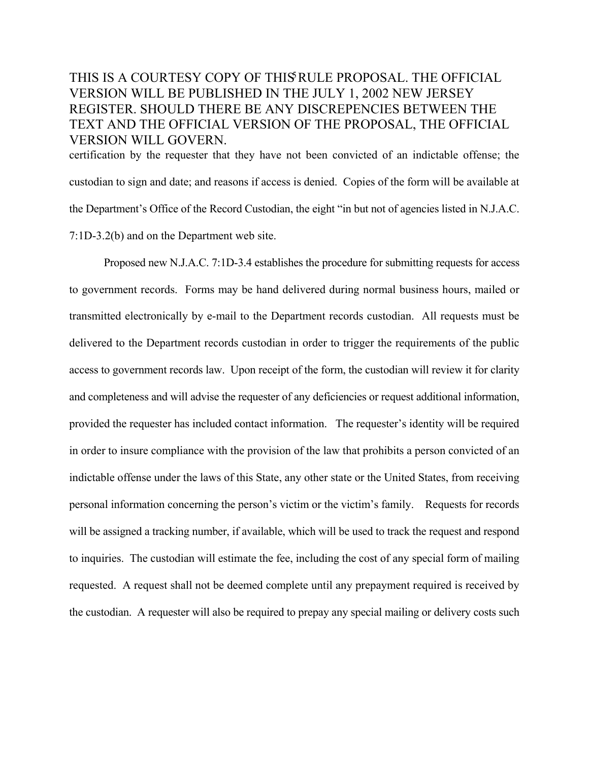certification by the requester that they have not been convicted of an indictable offense; the custodian to sign and date; and reasons if access is denied. Copies of the form will be available at the Department's Office of the Record Custodian, the eight "in but not of agencies listed in N.J.A.C. 7:1D-3.2(b) and on the Department web site.

Proposed new N.J.A.C. 7:1D-3.4 establishes the procedure for submitting requests for access to government records. Forms may be hand delivered during normal business hours, mailed or transmitted electronically by e-mail to the Department records custodian. All requests must be delivered to the Department records custodian in order to trigger the requirements of the public access to government records law. Upon receipt of the form, the custodian will review it for clarity and completeness and will advise the requester of any deficiencies or request additional information, provided the requester has included contact information. The requester's identity will be required in order to insure compliance with the provision of the law that prohibits a person convicted of an indictable offense under the laws of this State, any other state or the United States, from receiving personal information concerning the person's victim or the victim's family. Requests for records will be assigned a tracking number, if available, which will be used to track the request and respond to inquiries. The custodian will estimate the fee, including the cost of any special form of mailing requested. A request shall not be deemed complete until any prepayment required is received by the custodian. A requester will also be required to prepay any special mailing or delivery costs such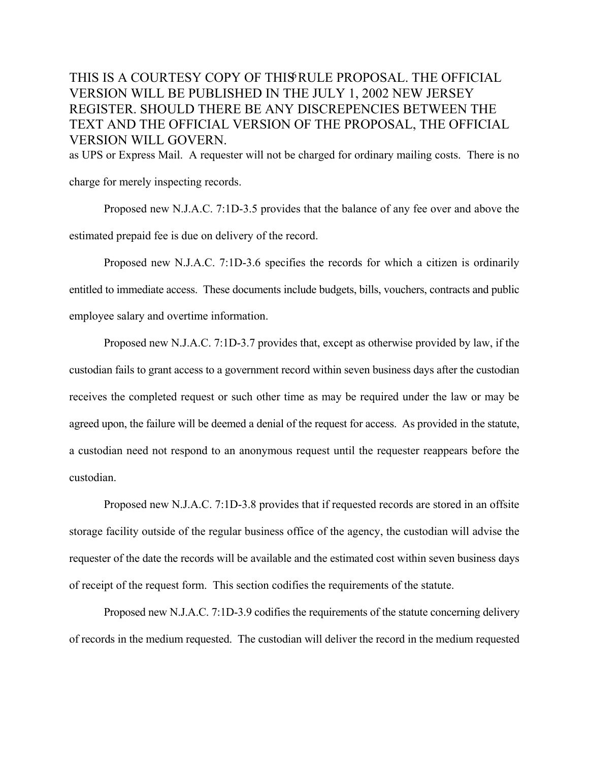as UPS or Express Mail. A requester will not be charged for ordinary mailing costs. There is no

charge for merely inspecting records.

Proposed new N.J.A.C. 7:1D-3.5 provides that the balance of any fee over and above the estimated prepaid fee is due on delivery of the record.

Proposed new N.J.A.C. 7:1D-3.6 specifies the records for which a citizen is ordinarily entitled to immediate access. These documents include budgets, bills, vouchers, contracts and public employee salary and overtime information.

Proposed new N.J.A.C. 7:1D-3.7 provides that, except as otherwise provided by law, if the custodian fails to grant access to a government record within seven business days after the custodian receives the completed request or such other time as may be required under the law or may be agreed upon, the failure will be deemed a denial of the request for access. As provided in the statute, a custodian need not respond to an anonymous request until the requester reappears before the custodian.

Proposed new N.J.A.C. 7:1D-3.8 provides that if requested records are stored in an offsite storage facility outside of the regular business office of the agency, the custodian will advise the requester of the date the records will be available and the estimated cost within seven business days of receipt of the request form. This section codifies the requirements of the statute.

Proposed new N.J.A.C. 7:1D-3.9 codifies the requirements of the statute concerning delivery of records in the medium requested. The custodian will deliver the record in the medium requested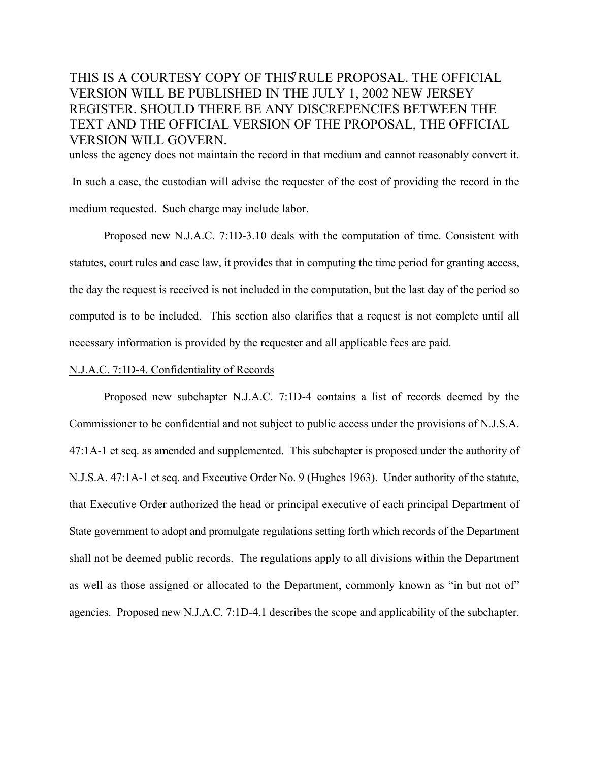unless the agency does not maintain the record in that medium and cannot reasonably convert it. In such a case, the custodian will advise the requester of the cost of providing the record in the medium requested. Such charge may include labor.

Proposed new N.J.A.C. 7:1D-3.10 deals with the computation of time. Consistent with statutes, court rules and case law, it provides that in computing the time period for granting access, the day the request is received is not included in the computation, but the last day of the period so computed is to be included. This section also clarifies that a request is not complete until all necessary information is provided by the requester and all applicable fees are paid.

#### N.J.A.C. 7:1D-4. Confidentiality of Records

Proposed new subchapter N.J.A.C. 7:1D-4 contains a list of records deemed by the Commissioner to be confidential and not subject to public access under the provisions of N.J.S.A. 47:1A-1 et seq. as amended and supplemented. This subchapter is proposed under the authority of N.J.S.A. 47:1A-1 et seq. and Executive Order No. 9 (Hughes 1963). Under authority of the statute, that Executive Order authorized the head or principal executive of each principal Department of State government to adopt and promulgate regulations setting forth which records of the Department shall not be deemed public records. The regulations apply to all divisions within the Department as well as those assigned or allocated to the Department, commonly known as "in but not of" agencies. Proposed new N.J.A.C. 7:1D-4.1 describes the scope and applicability of the subchapter.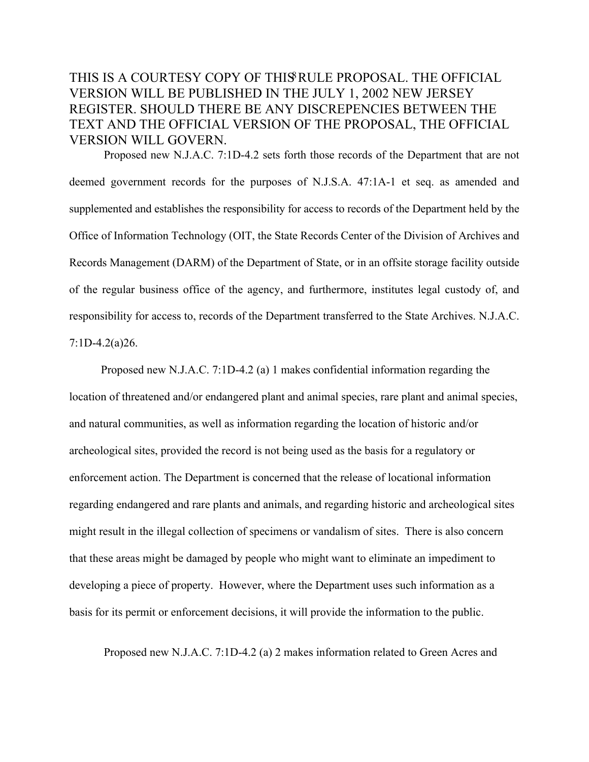Proposed new N.J.A.C. 7:1D-4.2 sets forth those records of the Department that are not deemed government records for the purposes of N.J.S.A. 47:1A-1 et seq. as amended and supplemented and establishes the responsibility for access to records of the Department held by the Office of Information Technology (OIT, the State Records Center of the Division of Archives and Records Management (DARM) of the Department of State, or in an offsite storage facility outside of the regular business office of the agency, and furthermore, institutes legal custody of, and responsibility for access to, records of the Department transferred to the State Archives. N.J.A.C. 7:1D-4.2(a)26.

 Proposed new N.J.A.C. 7:1D-4.2 (a) 1 makes confidential information regarding the location of threatened and/or endangered plant and animal species, rare plant and animal species, and natural communities, as well as information regarding the location of historic and/or archeological sites, provided the record is not being used as the basis for a regulatory or enforcement action. The Department is concerned that the release of locational information regarding endangered and rare plants and animals, and regarding historic and archeological sites might result in the illegal collection of specimens or vandalism of sites. There is also concern that these areas might be damaged by people who might want to eliminate an impediment to developing a piece of property. However, where the Department uses such information as a basis for its permit or enforcement decisions, it will provide the information to the public.

Proposed new N.J.A.C. 7:1D-4.2 (a) 2 makes information related to Green Acres and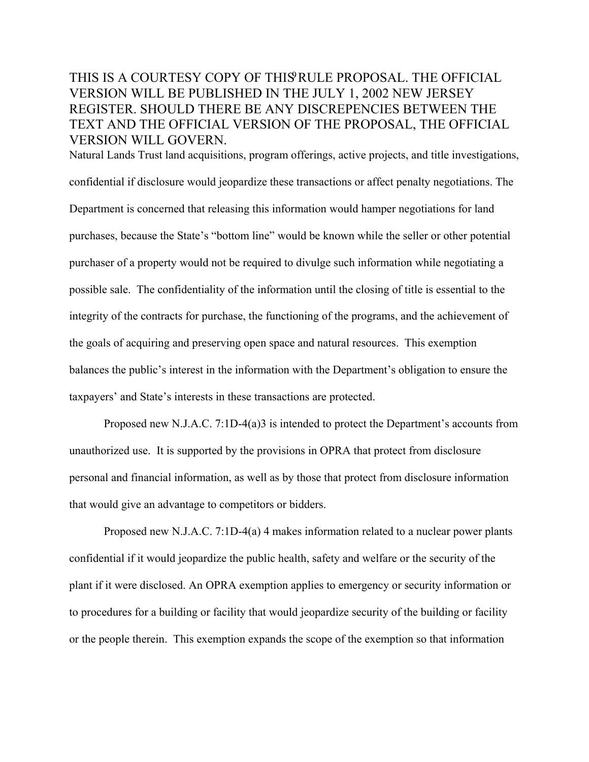Natural Lands Trust land acquisitions, program offerings, active projects, and title investigations, confidential if disclosure would jeopardize these transactions or affect penalty negotiations. The Department is concerned that releasing this information would hamper negotiations for land purchases, because the State's "bottom line" would be known while the seller or other potential purchaser of a property would not be required to divulge such information while negotiating a possible sale. The confidentiality of the information until the closing of title is essential to the integrity of the contracts for purchase, the functioning of the programs, and the achievement of the goals of acquiring and preserving open space and natural resources. This exemption balances the public's interest in the information with the Department's obligation to ensure the taxpayers' and State's interests in these transactions are protected.

Proposed new N.J.A.C. 7:1D-4(a)3 is intended to protect the Department's accounts from unauthorized use. It is supported by the provisions in OPRA that protect from disclosure personal and financial information, as well as by those that protect from disclosure information that would give an advantage to competitors or bidders.

Proposed new N.J.A.C. 7:1D-4(a) 4 makes information related to a nuclear power plants confidential if it would jeopardize the public health, safety and welfare or the security of the plant if it were disclosed. An OPRA exemption applies to emergency or security information or to procedures for a building or facility that would jeopardize security of the building or facility or the people therein. This exemption expands the scope of the exemption so that information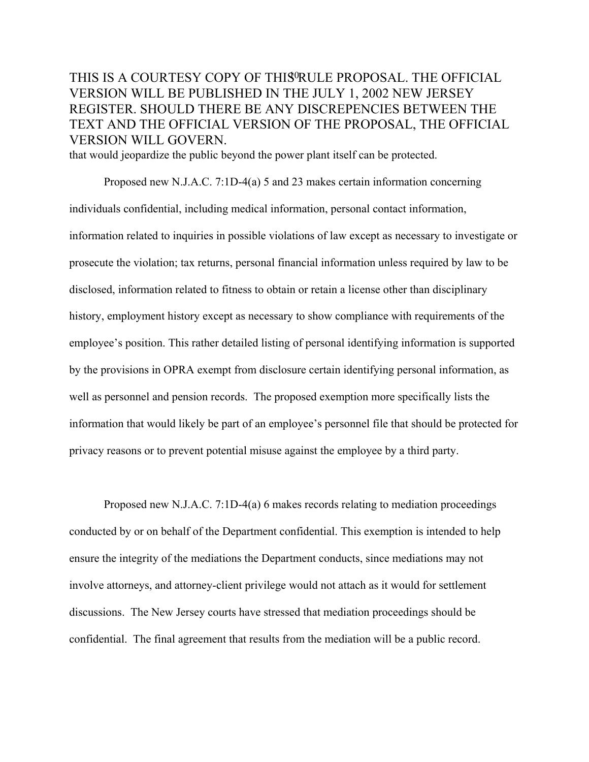that would jeopardize the public beyond the power plant itself can be protected.

Proposed new N.J.A.C. 7:1D-4(a) 5 and 23 makes certain information concerning individuals confidential, including medical information, personal contact information, information related to inquiries in possible violations of law except as necessary to investigate or prosecute the violation; tax returns, personal financial information unless required by law to be disclosed, information related to fitness to obtain or retain a license other than disciplinary history, employment history except as necessary to show compliance with requirements of the employee's position. This rather detailed listing of personal identifying information is supported by the provisions in OPRA exempt from disclosure certain identifying personal information, as well as personnel and pension records. The proposed exemption more specifically lists the information that would likely be part of an employee's personnel file that should be protected for privacy reasons or to prevent potential misuse against the employee by a third party.

Proposed new N.J.A.C. 7:1D-4(a) 6 makes records relating to mediation proceedings conducted by or on behalf of the Department confidential. This exemption is intended to help ensure the integrity of the mediations the Department conducts, since mediations may not involve attorneys, and attorney-client privilege would not attach as it would for settlement discussions. The New Jersey courts have stressed that mediation proceedings should be confidential. The final agreement that results from the mediation will be a public record.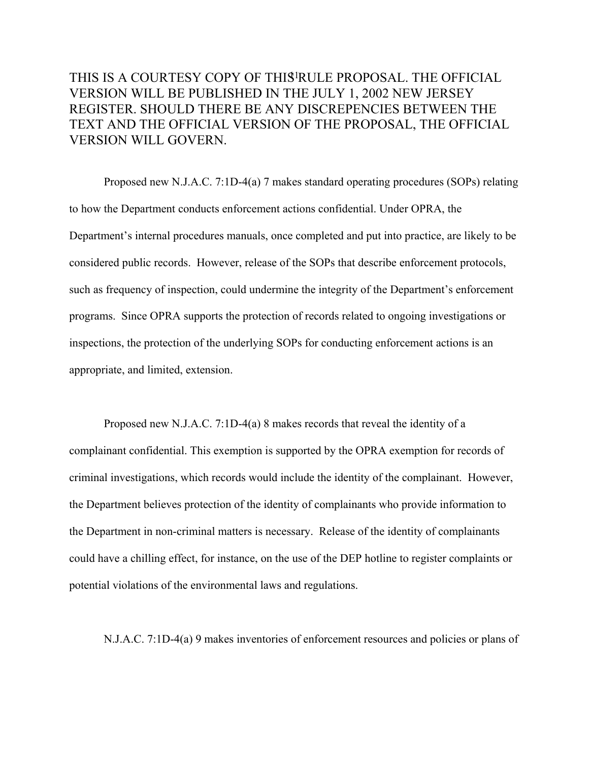Proposed new N.J.A.C. 7:1D-4(a) 7 makes standard operating procedures (SOPs) relating to how the Department conducts enforcement actions confidential. Under OPRA, the Department's internal procedures manuals, once completed and put into practice, are likely to be considered public records. However, release of the SOPs that describe enforcement protocols, such as frequency of inspection, could undermine the integrity of the Department's enforcement programs. Since OPRA supports the protection of records related to ongoing investigations or inspections, the protection of the underlying SOPs for conducting enforcement actions is an appropriate, and limited, extension.

Proposed new N.J.A.C. 7:1D-4(a) 8 makes records that reveal the identity of a complainant confidential. This exemption is supported by the OPRA exemption for records of criminal investigations, which records would include the identity of the complainant. However, the Department believes protection of the identity of complainants who provide information to the Department in non-criminal matters is necessary. Release of the identity of complainants could have a chilling effect, for instance, on the use of the DEP hotline to register complaints or potential violations of the environmental laws and regulations.

N.J.A.C. 7:1D-4(a) 9 makes inventories of enforcement resources and policies or plans of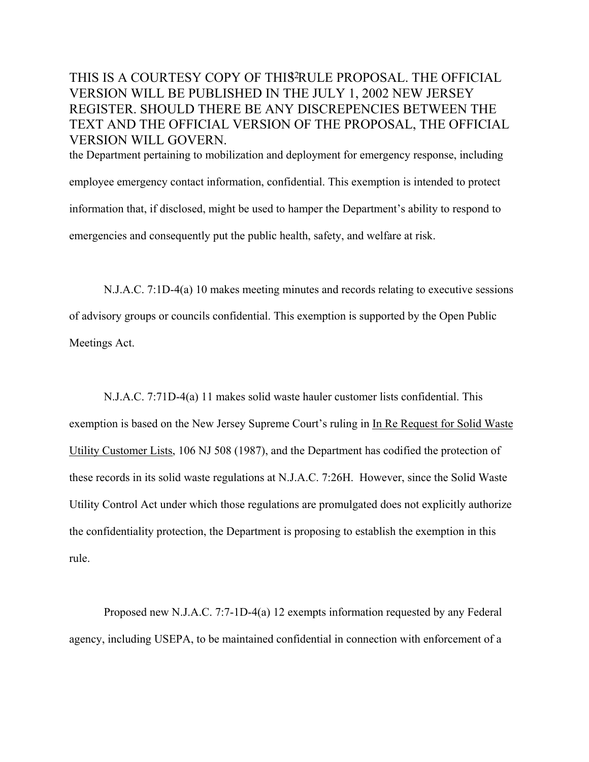THIS IS A COURTESY COPY OF THIS<sup>2</sup>RULE PROPOSAL. THE OFFICIAL VERSION WILL BE PUBLISHED IN THE JULY 1, 2002 NEW JERSEY REGISTER. SHOULD THERE BE ANY DISCREPENCIES BETWEEN THE TEXT AND THE OFFICIAL VERSION OF THE PROPOSAL, THE OFFICIAL VERSION WILL GOVERN. the Department pertaining to mobilization and deployment for emergency response, including

employee emergency contact information, confidential. This exemption is intended to protect information that, if disclosed, might be used to hamper the Department's ability to respond to emergencies and consequently put the public health, safety, and welfare at risk.

N.J.A.C. 7:1D-4(a) 10 makes meeting minutes and records relating to executive sessions of advisory groups or councils confidential. This exemption is supported by the Open Public Meetings Act.

N.J.A.C. 7:71D-4(a) 11 makes solid waste hauler customer lists confidential. This exemption is based on the New Jersey Supreme Court's ruling in In Re Request for Solid Waste Utility Customer Lists, 106 NJ 508 (1987), and the Department has codified the protection of these records in its solid waste regulations at N.J.A.C. 7:26H. However, since the Solid Waste Utility Control Act under which those regulations are promulgated does not explicitly authorize the confidentiality protection, the Department is proposing to establish the exemption in this rule.

Proposed new N.J.A.C. 7:7-1D-4(a) 12 exempts information requested by any Federal agency, including USEPA, to be maintained confidential in connection with enforcement of a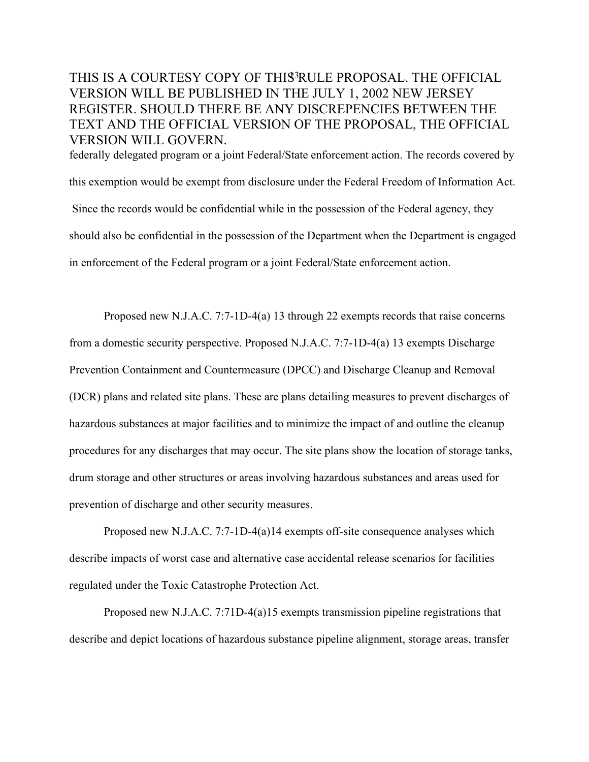federally delegated program or a joint Federal/State enforcement action. The records covered by this exemption would be exempt from disclosure under the Federal Freedom of Information Act. Since the records would be confidential while in the possession of the Federal agency, they should also be confidential in the possession of the Department when the Department is engaged in enforcement of the Federal program or a joint Federal/State enforcement action.

Proposed new N.J.A.C. 7:7-1D-4(a) 13 through 22 exempts records that raise concerns from a domestic security perspective. Proposed N.J.A.C. 7:7-1D-4(a) 13 exempts Discharge Prevention Containment and Countermeasure (DPCC) and Discharge Cleanup and Removal (DCR) plans and related site plans. These are plans detailing measures to prevent discharges of hazardous substances at major facilities and to minimize the impact of and outline the cleanup procedures for any discharges that may occur. The site plans show the location of storage tanks, drum storage and other structures or areas involving hazardous substances and areas used for prevention of discharge and other security measures.

Proposed new N.J.A.C. 7:7-1D-4(a)14 exempts off-site consequence analyses which describe impacts of worst case and alternative case accidental release scenarios for facilities regulated under the Toxic Catastrophe Protection Act.

Proposed new N.J.A.C. 7:71D-4(a)15 exempts transmission pipeline registrations that describe and depict locations of hazardous substance pipeline alignment, storage areas, transfer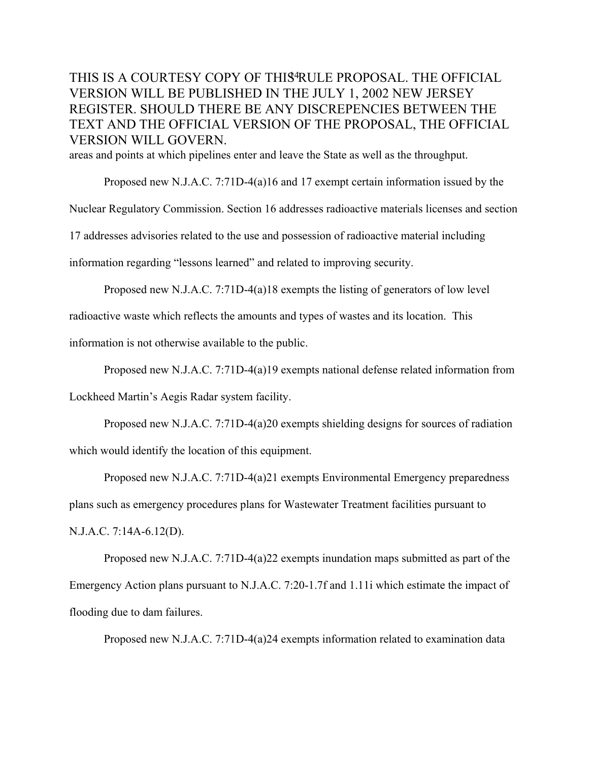areas and points at which pipelines enter and leave the State as well as the throughput.

Proposed new N.J.A.C. 7:71D-4(a)16 and 17 exempt certain information issued by the Nuclear Regulatory Commission. Section 16 addresses radioactive materials licenses and section 17 addresses advisories related to the use and possession of radioactive material including information regarding "lessons learned" and related to improving security.

Proposed new N.J.A.C. 7:71D-4(a)18 exempts the listing of generators of low level

radioactive waste which reflects the amounts and types of wastes and its location. This

information is not otherwise available to the public.

Proposed new N.J.A.C. 7:71D-4(a)19 exempts national defense related information from Lockheed Martin's Aegis Radar system facility.

Proposed new N.J.A.C. 7:71D-4(a)20 exempts shielding designs for sources of radiation which would identify the location of this equipment.

Proposed new N.J.A.C. 7:71D-4(a)21 exempts Environmental Emergency preparedness plans such as emergency procedures plans for Wastewater Treatment facilities pursuant to N.J.A.C. 7:14A-6.12(D).

Proposed new N.J.A.C. 7:71D-4(a)22 exempts inundation maps submitted as part of the Emergency Action plans pursuant to N.J.A.C. 7:20-1.7f and 1.11i which estimate the impact of flooding due to dam failures.

Proposed new N.J.A.C. 7:71D-4(a)24 exempts information related to examination data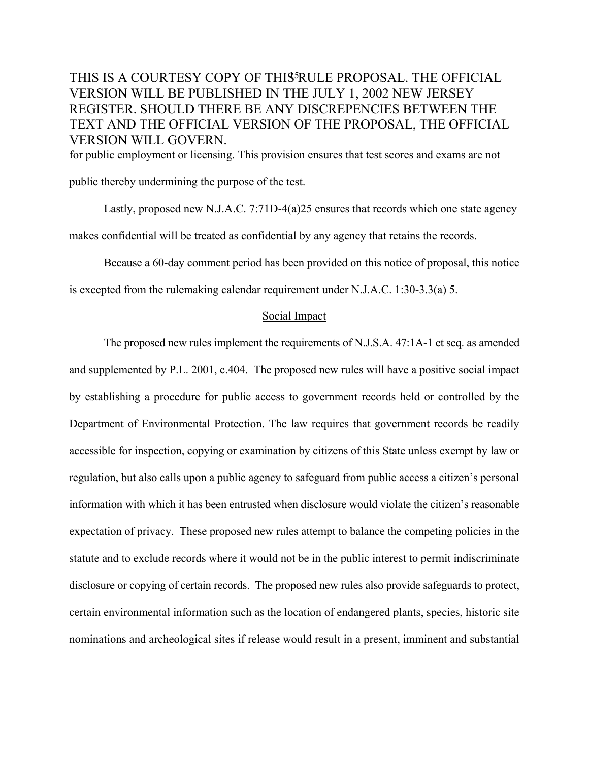for public employment or licensing. This provision ensures that test scores and exams are not

public thereby undermining the purpose of the test.

Lastly, proposed new N.J.A.C. 7:71D-4(a)25 ensures that records which one state agency makes confidential will be treated as confidential by any agency that retains the records.

Because a 60-day comment period has been provided on this notice of proposal, this notice

is excepted from the rulemaking calendar requirement under N.J.A.C. 1:30-3.3(a) 5.

#### Social Impact

The proposed new rules implement the requirements of N.J.S.A. 47:1A-1 et seq. as amended and supplemented by P.L. 2001, c.404. The proposed new rules will have a positive social impact by establishing a procedure for public access to government records held or controlled by the Department of Environmental Protection. The law requires that government records be readily accessible for inspection, copying or examination by citizens of this State unless exempt by law or regulation, but also calls upon a public agency to safeguard from public access a citizen's personal information with which it has been entrusted when disclosure would violate the citizen's reasonable expectation of privacy. These proposed new rules attempt to balance the competing policies in the statute and to exclude records where it would not be in the public interest to permit indiscriminate disclosure or copying of certain records. The proposed new rules also provide safeguards to protect, certain environmental information such as the location of endangered plants, species, historic site nominations and archeological sites if release would result in a present, imminent and substantial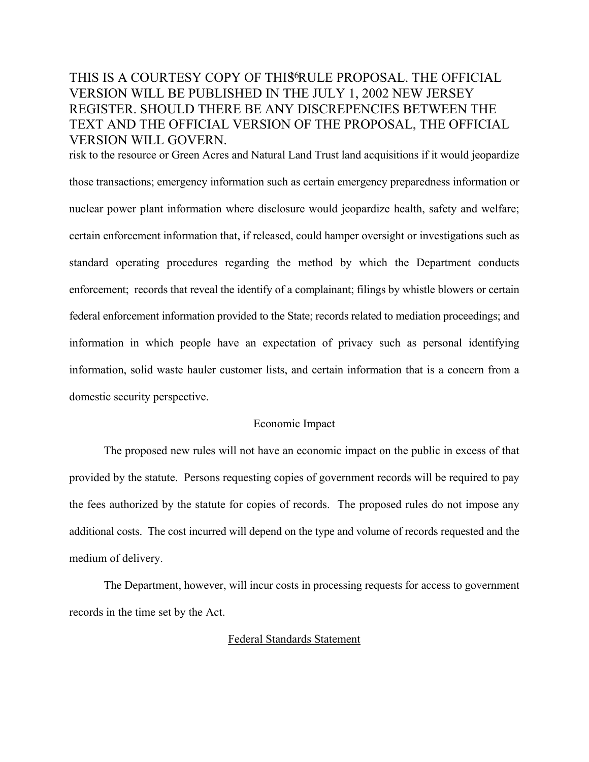risk to the resource or Green Acres and Natural Land Trust land acquisitions if it would jeopardize those transactions; emergency information such as certain emergency preparedness information or nuclear power plant information where disclosure would jeopardize health, safety and welfare; certain enforcement information that, if released, could hamper oversight or investigations such as standard operating procedures regarding the method by which the Department conducts enforcement; records that reveal the identify of a complainant; filings by whistle blowers or certain federal enforcement information provided to the State; records related to mediation proceedings; and information in which people have an expectation of privacy such as personal identifying information, solid waste hauler customer lists, and certain information that is a concern from a domestic security perspective.

#### Economic Impact

The proposed new rules will not have an economic impact on the public in excess of that provided by the statute. Persons requesting copies of government records will be required to pay the fees authorized by the statute for copies of records. The proposed rules do not impose any additional costs. The cost incurred will depend on the type and volume of records requested and the medium of delivery.

The Department, however, will incur costs in processing requests for access to government records in the time set by the Act.

#### Federal Standards Statement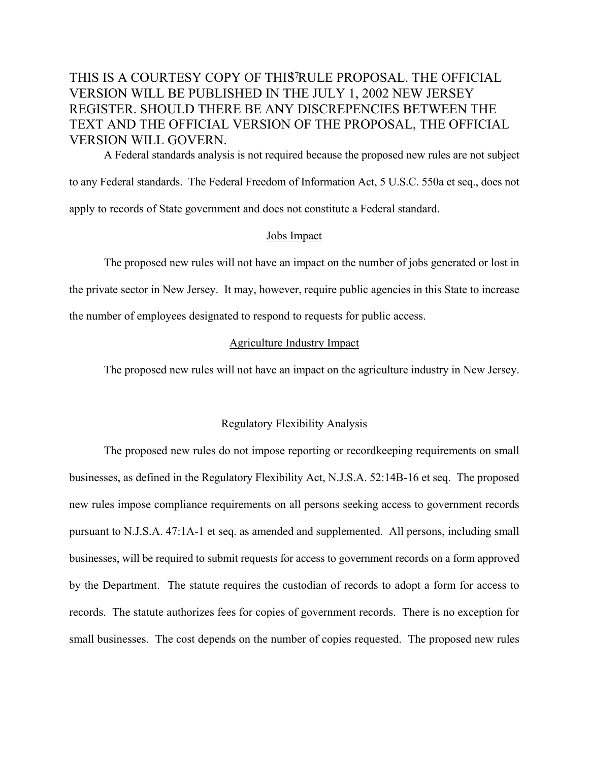A Federal standards analysis is not required because the proposed new rules are not subject to any Federal standards. The Federal Freedom of Information Act, 5 U.S.C. 550a et seq., does not apply to records of State government and does not constitute a Federal standard.

#### Jobs Impact

The proposed new rules will not have an impact on the number of jobs generated or lost in the private sector in New Jersey. It may, however, require public agencies in this State to increase the number of employees designated to respond to requests for public access.

#### Agriculture Industry Impact

The proposed new rules will not have an impact on the agriculture industry in New Jersey.

#### Regulatory Flexibility Analysis

The proposed new rules do not impose reporting or recordkeeping requirements on small businesses, as defined in the Regulatory Flexibility Act, N.J.S.A. 52:14B-16 et seq. The proposed new rules impose compliance requirements on all persons seeking access to government records pursuant to N.J.S.A. 47:1A-1 et seq. as amended and supplemented. All persons, including small businesses, will be required to submit requests for access to government records on a form approved by the Department. The statute requires the custodian of records to adopt a form for access to records. The statute authorizes fees for copies of government records. There is no exception for small businesses. The cost depends on the number of copies requested. The proposed new rules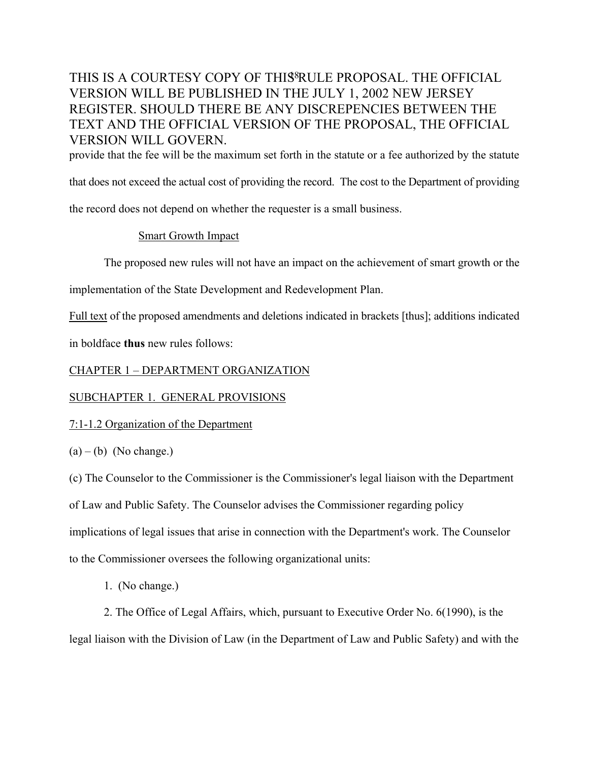provide that the fee will be the maximum set forth in the statute or a fee authorized by the statute

that does not exceed the actual cost of providing the record. The cost to the Department of providing

the record does not depend on whether the requester is a small business.

#### Smart Growth Impact

The proposed new rules will not have an impact on the achievement of smart growth or the

implementation of the State Development and Redevelopment Plan.

Full text of the proposed amendments and deletions indicated in brackets [thus]; additions indicated

in boldface **thus** new rules follows:

### CHAPTER 1 – DEPARTMENT ORGANIZATION

#### SUBCHAPTER 1. GENERAL PROVISIONS

#### 7:1-1.2 Organization of the Department

 $(a) - (b)$  (No change.)

(c) The Counselor to the Commissioner is the Commissioner's legal liaison with the Department of Law and Public Safety. The Counselor advises the Commissioner regarding policy

implications of legal issues that arise in connection with the Department's work. The Counselor

to the Commissioner oversees the following organizational units:

1. (No change.)

2. The Office of Legal Affairs, which, pursuant to Executive Order No. 6(1990), is the legal liaison with the Division of Law (in the Department of Law and Public Safety) and with the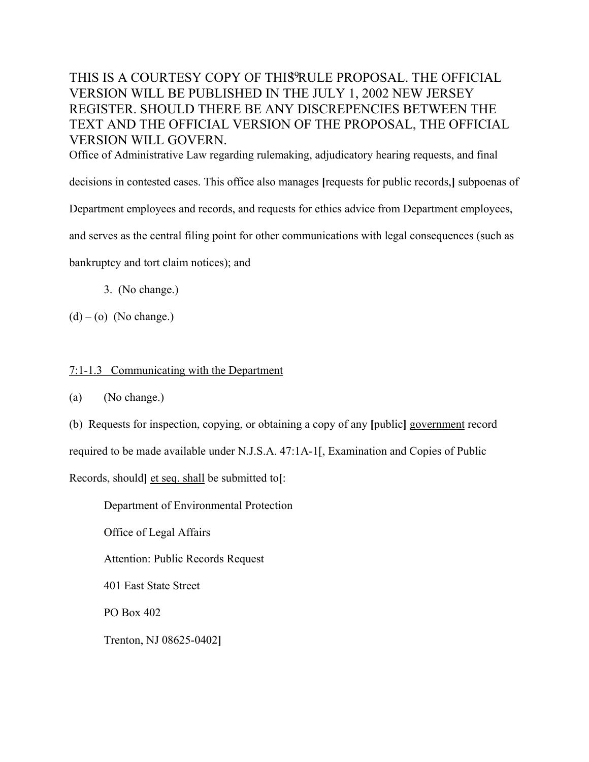Office of Administrative Law regarding rulemaking, adjudicatory hearing requests, and final

decisions in contested cases. This office also manages **[**requests for public records,**]** subpoenas of

Department employees and records, and requests for ethics advice from Department employees,

and serves as the central filing point for other communications with legal consequences (such as

bankruptcy and tort claim notices); and

3. (No change.)

 $(d) - (o)$  (No change.)

#### 7:1-1.3 Communicating with the Department

(a) (No change.)

(b) Requests for inspection, copying, or obtaining a copy of any **[**public**]** government record

required to be made available under N.J.S.A. 47:1A-1[, Examination and Copies of Public

Records, should**]** et seq. shall be submitted to**[**:

Department of Environmental Protection

Office of Legal Affairs

Attention: Public Records Request

401 East State Street

PO Box 402

Trenton, NJ 08625-0402**]**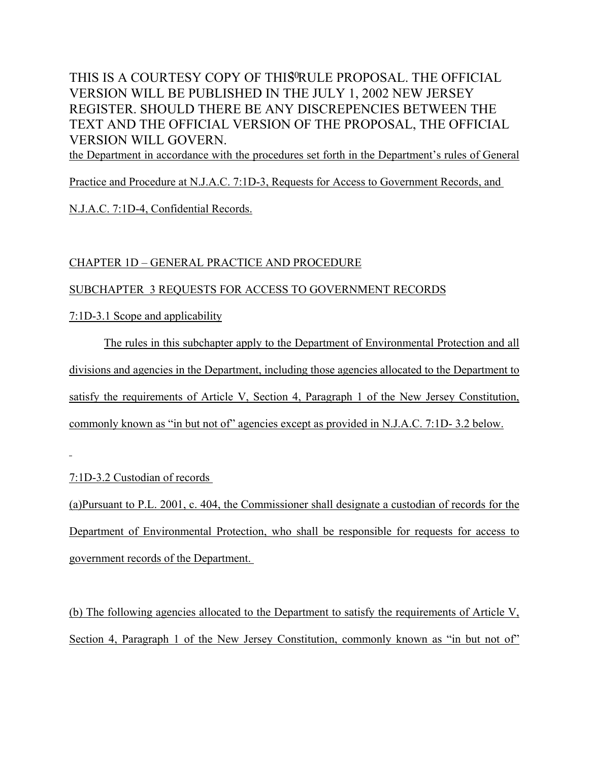the Department in accordance with the procedures set forth in the Department's rules of General

Practice and Procedure at N.J.A.C. 7:1D-3, Requests for Access to Government Records, and

N.J.A.C. 7:1D-4, Confidential Records.

### CHAPTER 1D – GENERAL PRACTICE AND PROCEDURE

### SUBCHAPTER 3 REQUESTS FOR ACCESS TO GOVERNMENT RECORDS

7:1D-3.1 Scope and applicability

The rules in this subchapter apply to the Department of Environmental Protection and all divisions and agencies in the Department, including those agencies allocated to the Department to satisfy the requirements of Article V, Section 4, Paragraph 1 of the New Jersey Constitution, commonly known as "in but not of" agencies except as provided in N.J.A.C. 7:1D- 3.2 below.

7:1D-3.2 Custodian of records

(a)Pursuant to P.L. 2001, c. 404, the Commissioner shall designate a custodian of records for the Department of Environmental Protection, who shall be responsible for requests for access to government records of the Department.

(b) The following agencies allocated to the Department to satisfy the requirements of Article V, Section 4, Paragraph 1 of the New Jersey Constitution, commonly known as "in but not of"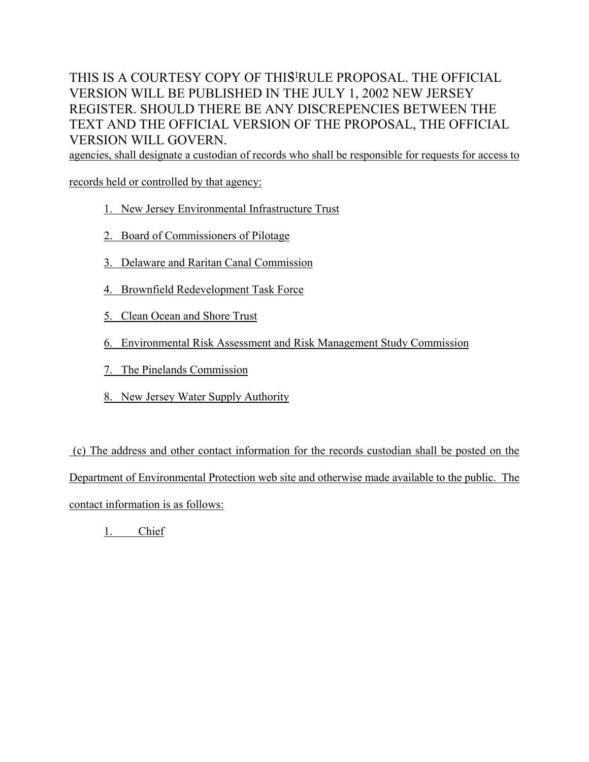agencies, shall designate a custodian of records who shall be responsible for requests for access to

records held or controlled by that agency:

- 1. New Jersey Environmental Infrastructure Trust
- 2. Board of Commissioners of Pilotage
- 3. Delaware and Raritan Canal Commission
- 4. Brownfield Redevelopment Task Force
- 5. Clean Ocean and Shore Trust
- 6. Environmental Risk Assessment and Risk Management Study Commission
- 7. The Pinelands Commission
- 8. New Jersey Water Supply Authority

 (c) The address and other contact information for the records custodian shall be posted on the Department of Environmental Protection web site and otherwise made available to the public. The contact information is as follows:

1. Chief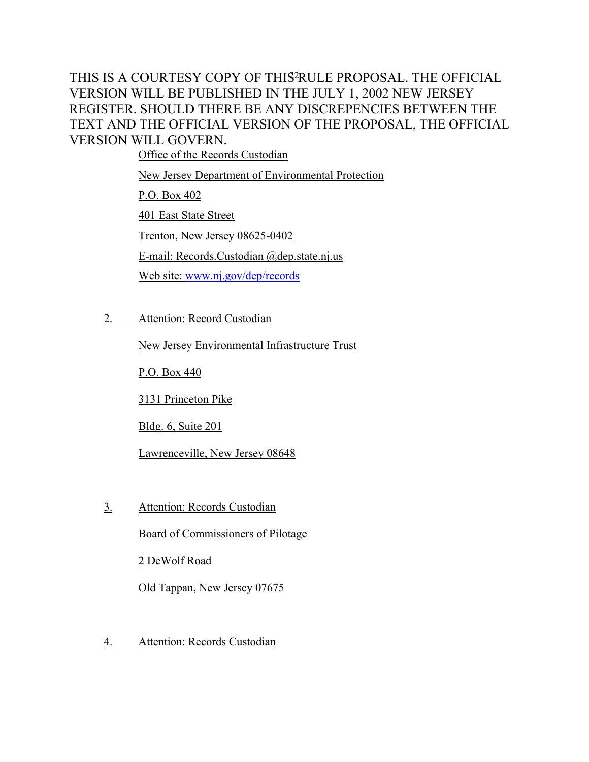Office of the Records Custodian

New Jersey Department of Environmental Protection

P.O. Box 402

401 East State Street

Trenton, New Jersey 08625-0402

E-mail: Records.Custodian @dep.state.nj.us

Web site: [www.nj.gov/dep/records](http://www.nj.gov/dep/records)

2. Attention: Record Custodian

New Jersey Environmental Infrastructure Trust

P.O. Box 440

3131 Princeton Pike

Bldg. 6, Suite 201

Lawrenceville, New Jersey 08648

3. Attention: Records Custodian

Board of Commissioners of Pilotage

2 DeWolf Road

Old Tappan, New Jersey 07675

4. Attention: Records Custodian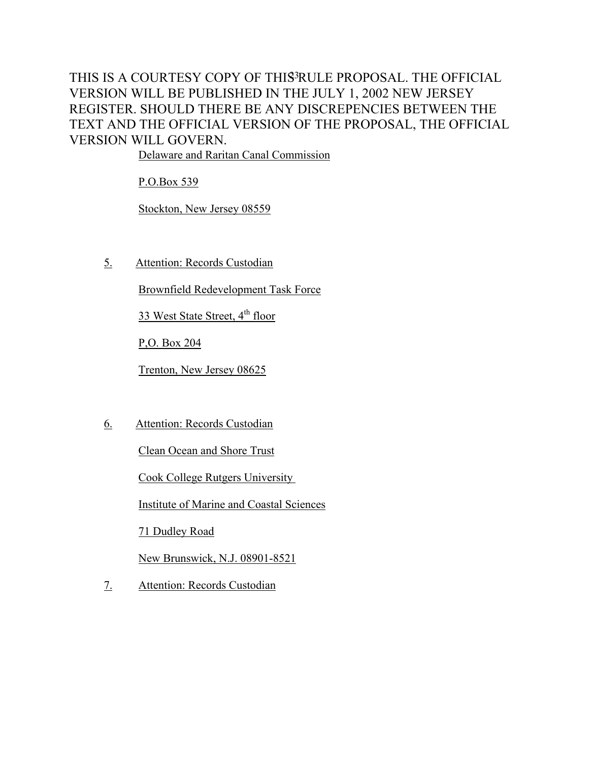Delaware and Raritan Canal Commission

P.O.Box 539

Stockton, New Jersey 08559

5. Attention: Records Custodian

Brownfield Redevelopment Task Force

33 West State Street, 4<sup>th</sup> floor

P,O. Box 204

Trenton, New Jersey 08625

6. Attention: Records Custodian

Clean Ocean and Shore Trust

Cook College Rutgers University

Institute of Marine and Coastal Sciences

71 Dudley Road

New Brunswick, N.J. 08901-8521

7. Attention: Records Custodian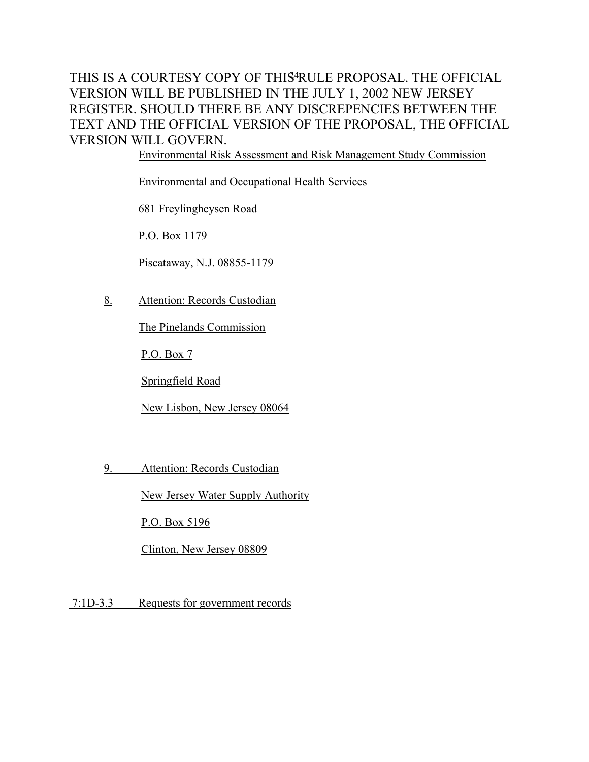Environmental Risk Assessment and Risk Management Study Commission

Environmental and Occupational Health Services

681 Freylingheysen Road

P.O. Box 1179

Piscataway, N.J. 08855-1179

8. Attention: Records Custodian

The Pinelands Commission

P.O. Box 7

Springfield Road

New Lisbon, New Jersey 08064

9. Attention: Records Custodian

New Jersey Water Supply Authority

P.O. Box 5196

Clinton, New Jersey 08809

7:1D-3.3 Requests for government records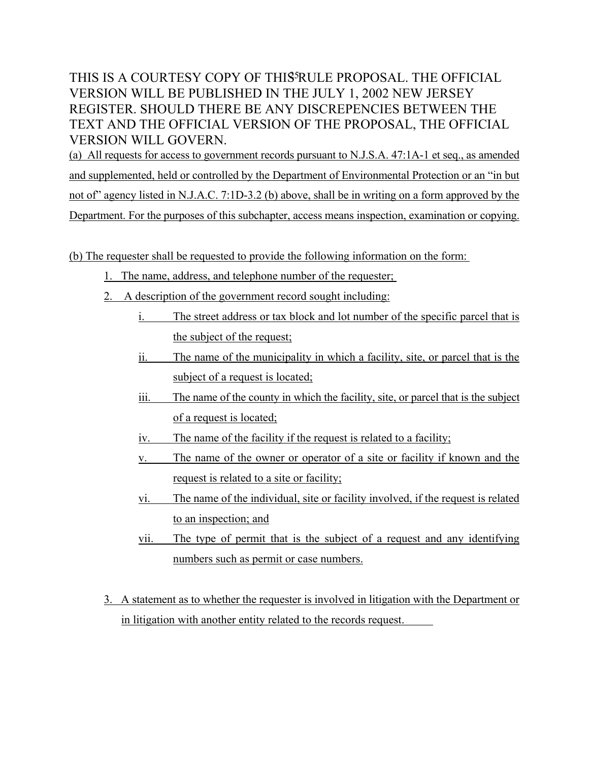(a) All requests for access to government records pursuant to N.J.S.A. 47:1A-1 et seq., as amended and supplemented, held or controlled by the Department of Environmental Protection or an "in but not of" agency listed in N.J.A.C. 7:1D-3.2 (b) above, shall be in writing on a form approved by the Department. For the purposes of this subchapter, access means inspection, examination or copying.

(b) The requester shall be requested to provide the following information on the form:

- 1. The name, address, and telephone number of the requester;
- 2. A description of the government record sought including:
	- i. The street address or tax block and lot number of the specific parcel that is the subject of the request;
	- ii. The name of the municipality in which a facility, site, or parcel that is the subject of a request is located;
	- iii. The name of the county in which the facility, site, or parcel that is the subject of a request is located;
	- iv. The name of the facility if the request is related to a facility;
	- v. The name of the owner or operator of a site or facility if known and the request is related to a site or facility;
	- vi. The name of the individual, site or facility involved, if the request is related to an inspection; and
	- vii. The type of permit that is the subject of a request and any identifying numbers such as permit or case numbers.
- 3. A statement as to whether the requester is involved in litigation with the Department or in litigation with another entity related to the records request.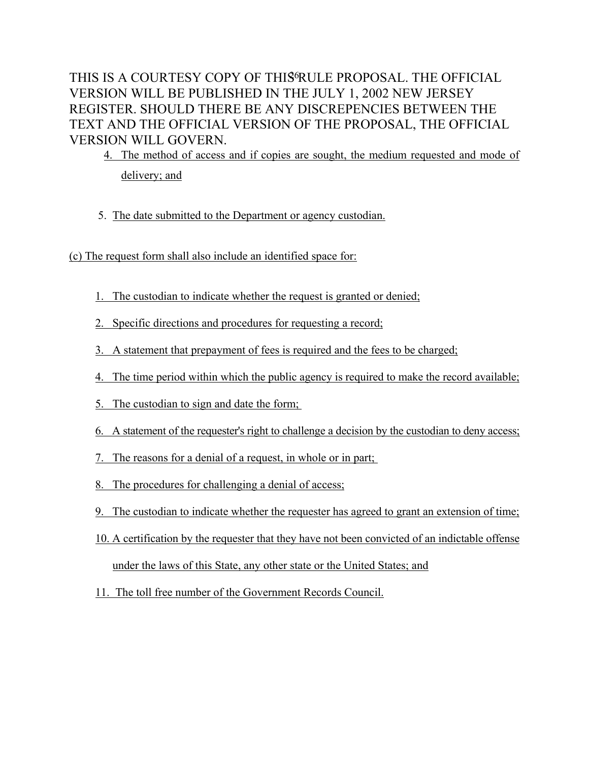4. The method of access and if copies are sought, the medium requested and mode of delivery; and

- 5. The date submitted to the Department or agency custodian.
- (c) The request form shall also include an identified space for:
	- 1. The custodian to indicate whether the request is granted or denied;
	- 2. Specific directions and procedures for requesting a record;
	- 3. A statement that prepayment of fees is required and the fees to be charged;
	- 4. The time period within which the public agency is required to make the record available;
	- 5. The custodian to sign and date the form;
	- 6. A statement of the requester's right to challenge a decision by the custodian to deny access;
	- 7. The reasons for a denial of a request, in whole or in part;
	- 8. The procedures for challenging a denial of access;
	- 9. The custodian to indicate whether the requester has agreed to grant an extension of time;
	- 10. A certification by the requester that they have not been convicted of an indictable offense under the laws of this State, any other state or the United States; and
	- 11. The toll free number of the Government Records Council.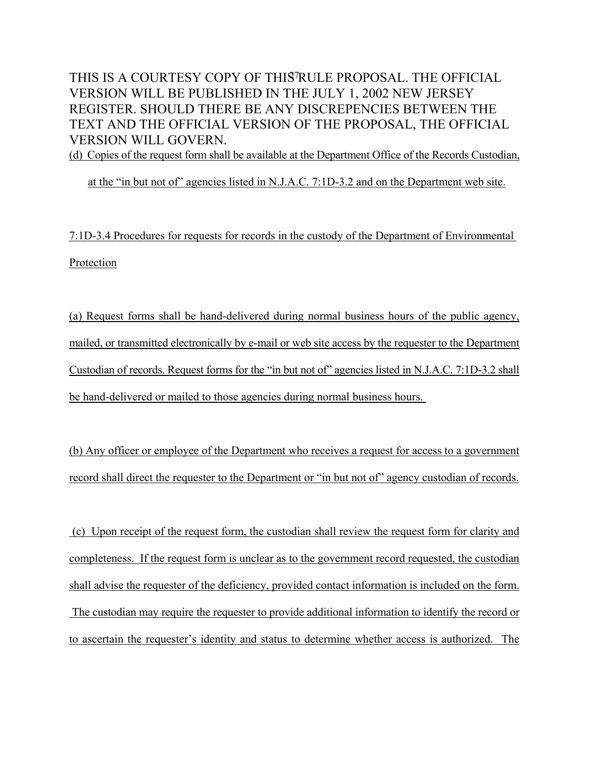(d) Copies of the request form shall be available at the Department Office of the Records Custodian,

at the "in but not of" agencies listed in N.J.A.C. 7:1D-3.2 and on the Department web site.

7:1D-3.4 Procedures for requests for records in the custody of the Department of Environmental Protection

(a) Request forms shall be hand-delivered during normal business hours of the public agency, mailed, or transmitted electronically by e-mail or web site access by the requester to the Department Custodian of records. Request forms for the "in but not of" agencies listed in N.J.A.C. 7:1D-3.2 shall be hand-delivered or mailed to those agencies during normal business hours.

(b) Any officer or employee of the Department who receives a request for access to a government record shall direct the requester to the Department or "in but not of" agency custodian of records.

 (c) Upon receipt of the request form, the custodian shall review the request form for clarity and completeness. If the request form is unclear as to the government record requested, the custodian shall advise the requester of the deficiency, provided contact information is included on the form. The custodian may require the requester to provide additional information to identify the record or to ascertain the requester's identity and status to determine whether access is authorized. The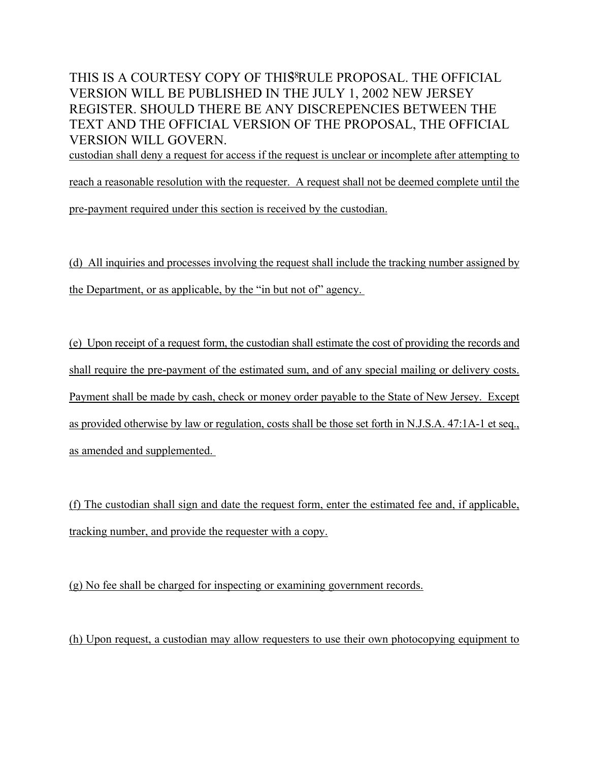custodian shall deny a request for access if the request is unclear or incomplete after attempting to

reach a reasonable resolution with the requester. A request shall not be deemed complete until the pre-payment required under this section is received by the custodian.

(d) All inquiries and processes involving the request shall include the tracking number assigned by the Department, or as applicable, by the "in but not of" agency.

(e) Upon receipt of a request form, the custodian shall estimate the cost of providing the records and shall require the pre-payment of the estimated sum, and of any special mailing or delivery costs. Payment shall be made by cash, check or money order payable to the State of New Jersey. Except as provided otherwise by law or regulation, costs shall be those set forth in N.J.S.A. 47:1A-1 et seq., as amended and supplemented.

(f) The custodian shall sign and date the request form, enter the estimated fee and, if applicable, tracking number, and provide the requester with a copy.

(g) No fee shall be charged for inspecting or examining government records.

(h) Upon request, a custodian may allow requesters to use their own photocopying equipment to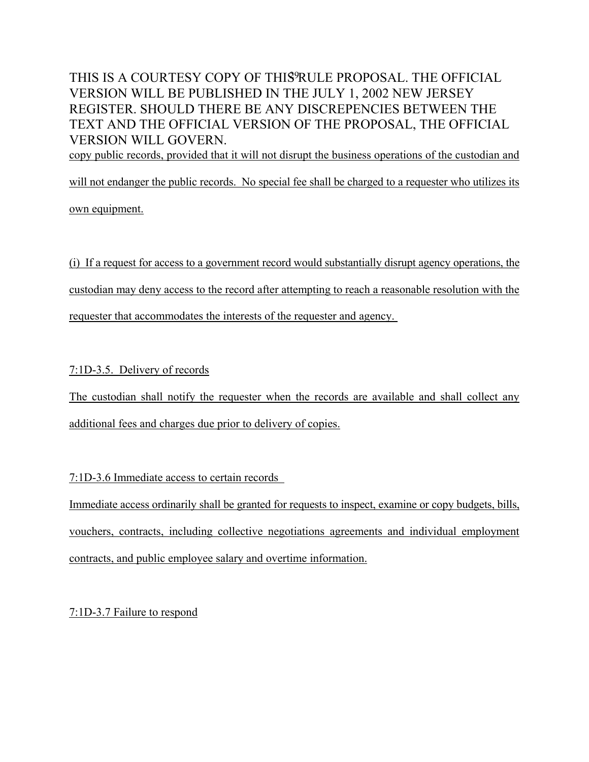copy public records, provided that it will not disrupt the business operations of the custodian and

will not endanger the public records. No special fee shall be charged to a requester who utilizes its

own equipment.

(i) If a request for access to a government record would substantially disrupt agency operations, the custodian may deny access to the record after attempting to reach a reasonable resolution with the requester that accommodates the interests of the requester and agency.

7:1D-3.5. Delivery of records

The custodian shall notify the requester when the records are available and shall collect any additional fees and charges due prior to delivery of copies.

7:1D-3.6 Immediate access to certain records

Immediate access ordinarily shall be granted for requests to inspect, examine or copy budgets, bills, vouchers, contracts, including collective negotiations agreements and individual employment contracts, and public employee salary and overtime information.

7:1D-3.7 Failure to respond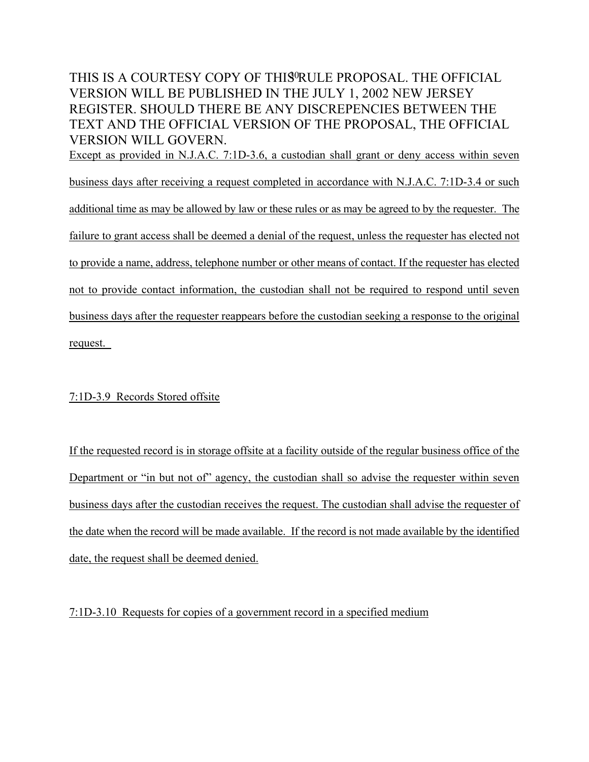### THIS IS A COURTESY COPY OF THIS<sup>O</sup>RULE PROPOSAL. THE OFFICIAL VERSION WILL BE PUBLISHED IN THE JULY 1, 2002 NEW JERSEY REGISTER. SHOULD THERE BE ANY DISCREPENCIES BETWEEN THE TEXT AND THE OFFICIAL VERSION OF THE PROPOSAL, THE OFFICIAL VERSION WILL GOVERN. Except as provided in N.J.A.C. 7:1D-3.6, a custodian shall grant or deny access within seven

business days after receiving a request completed in accordance with N.J.A.C. 7:1D-3.4 or such additional time as may be allowed by law or these rules or as may be agreed to by the requester. The failure to grant access shall be deemed a denial of the request, unless the requester has elected not to provide a name, address, telephone number or other means of contact. If the requester has elected not to provide contact information, the custodian shall not be required to respond until seven business days after the requester reappears before the custodian seeking a response to the original request.

### 7:1D-3.9 Records Stored offsite

If the requested record is in storage offsite at a facility outside of the regular business office of the Department or "in but not of" agency, the custodian shall so advise the requester within seven business days after the custodian receives the request. The custodian shall advise the requester of the date when the record will be made available. If the record is not made available by the identified date, the request shall be deemed denied.

7:1D-3.10 Requests for copies of a government record in a specified medium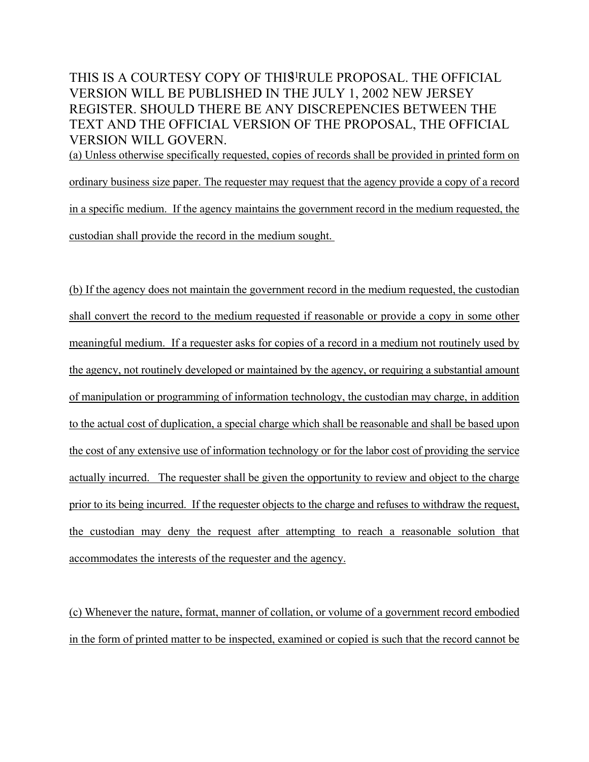(a) Unless otherwise specifically requested, copies of records shall be provided in printed form on ordinary business size paper. The requester may request that the agency provide a copy of a record in a specific medium. If the agency maintains the government record in the medium requested, the custodian shall provide the record in the medium sought.

(b) If the agency does not maintain the government record in the medium requested, the custodian shall convert the record to the medium requested if reasonable or provide a copy in some other meaningful medium. If a requester asks for copies of a record in a medium not routinely used by the agency, not routinely developed or maintained by the agency, or requiring a substantial amount of manipulation or programming of information technology, the custodian may charge, in addition to the actual cost of duplication, a special charge which shall be reasonable and shall be based upon the cost of any extensive use of information technology or for the labor cost of providing the service actually incurred. The requester shall be given the opportunity to review and object to the charge prior to its being incurred. If the requester objects to the charge and refuses to withdraw the request, the custodian may deny the request after attempting to reach a reasonable solution that accommodates the interests of the requester and the agency.

(c) Whenever the nature, format, manner of collation, or volume of a government record embodied in the form of printed matter to be inspected, examined or copied is such that the record cannot be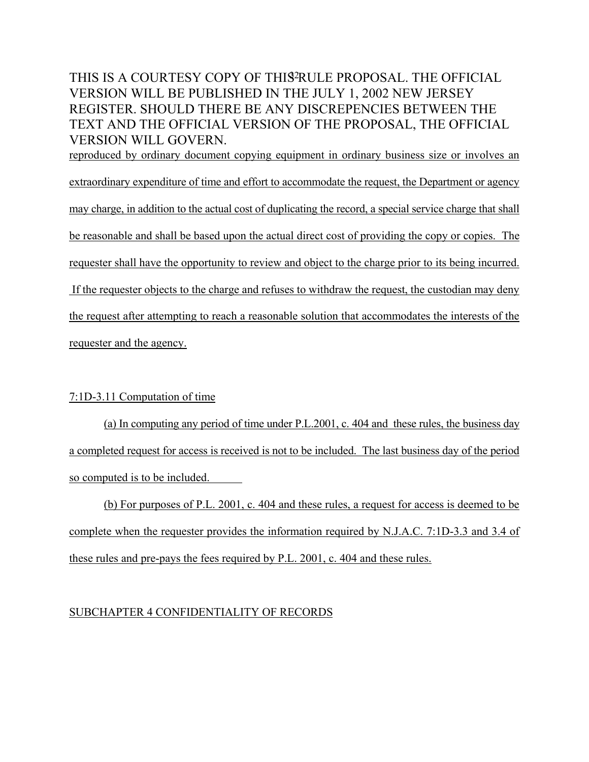reproduced by ordinary document copying equipment in ordinary business size or involves an extraordinary expenditure of time and effort to accommodate the request, the Department or agency may charge, in addition to the actual cost of duplicating the record, a special service charge that shall be reasonable and shall be based upon the actual direct cost of providing the copy or copies. The requester shall have the opportunity to review and object to the charge prior to its being incurred. If the requester objects to the charge and refuses to withdraw the request, the custodian may deny the request after attempting to reach a reasonable solution that accommodates the interests of the requester and the agency.

### 7:1D-3.11 Computation of time

(a) In computing any period of time under P.L.2001, c. 404 and these rules, the business day a completed request for access is received is not to be included. The last business day of the period so computed is to be included.

(b) For purposes of P.L. 2001, c. 404 and these rules, a request for access is deemed to be complete when the requester provides the information required by N.J.A.C. 7:1D-3.3 and 3.4 of these rules and pre-pays the fees required by P.L. 2001, c. 404 and these rules.

### SUBCHAPTER 4 CONFIDENTIALITY OF RECORDS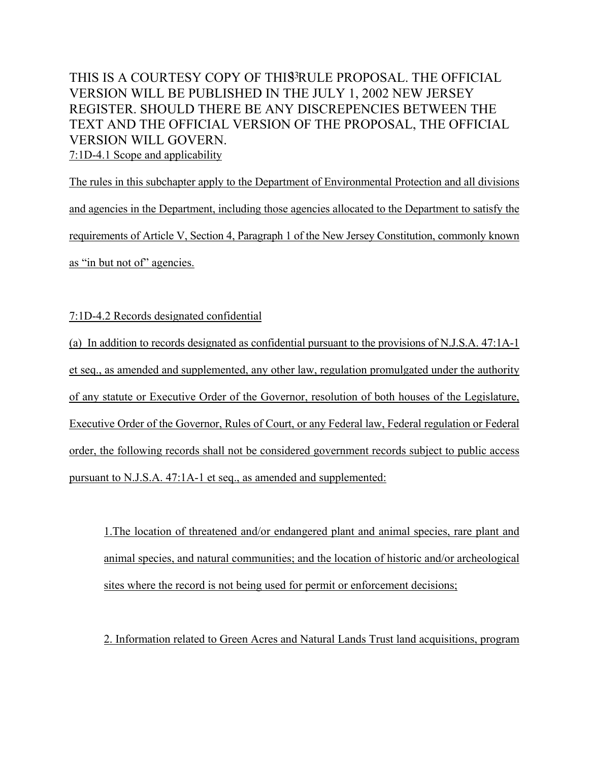The rules in this subchapter apply to the Department of Environmental Protection and all divisions and agencies in the Department, including those agencies allocated to the Department to satisfy the requirements of Article V, Section 4, Paragraph 1 of the New Jersey Constitution, commonly known as "in but not of" agencies.

7:1D-4.2 Records designated confidential

(a) In addition to records designated as confidential pursuant to the provisions of N.J.S.A. 47:1A-1 et seq., as amended and supplemented, any other law, regulation promulgated under the authority of any statute or Executive Order of the Governor, resolution of both houses of the Legislature, Executive Order of the Governor, Rules of Court, or any Federal law, Federal regulation or Federal order, the following records shall not be considered government records subject to public access pursuant to N.J.S.A. 47:1A-1 et seq., as amended and supplemented:

1.The location of threatened and/or endangered plant and animal species, rare plant and animal species, and natural communities; and the location of historic and/or archeological sites where the record is not being used for permit or enforcement decisions;

2. Information related to Green Acres and Natural Lands Trust land acquisitions, program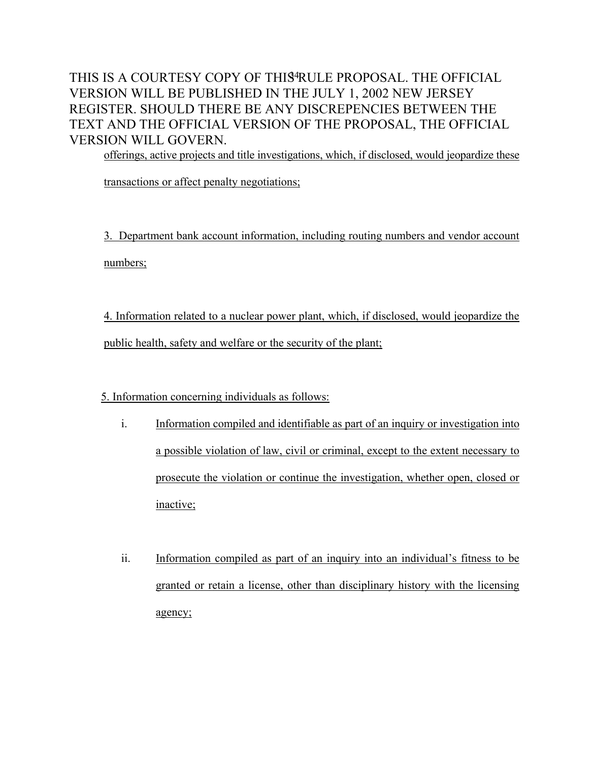offerings, active projects and title investigations, which, if disclosed, would jeopardize these

transactions or affect penalty negotiations;

3. Department bank account information, including routing numbers and vendor account numbers;

4. Information related to a nuclear power plant, which, if disclosed, would jeopardize the public health, safety and welfare or the security of the plant;

5. Information concerning individuals as follows:

- i. Information compiled and identifiable as part of an inquiry or investigation into a possible violation of law, civil or criminal, except to the extent necessary to prosecute the violation or continue the investigation, whether open, closed or inactive;
- ii. Information compiled as part of an inquiry into an individual's fitness to be granted or retain a license, other than disciplinary history with the licensing agency;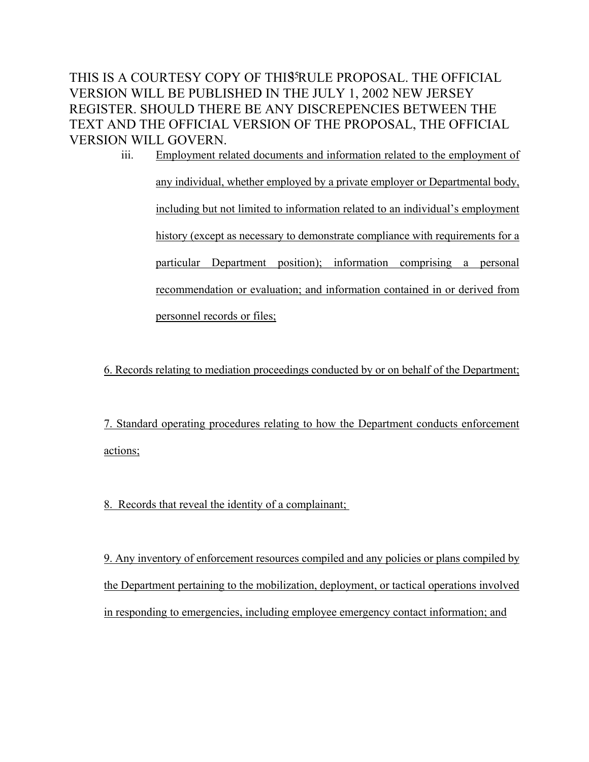iii. Employment related documents and information related to the employment of any individual, whether employed by a private employer or Departmental body, including but not limited to information related to an individual's employment history (except as necessary to demonstrate compliance with requirements for a particular Department position); information comprising a personal recommendation or evaluation; and information contained in or derived from personnel records or files;

6. Records relating to mediation proceedings conducted by or on behalf of the Department;

7. Standard operating procedures relating to how the Department conducts enforcement actions;

8. Records that reveal the identity of a complainant;

9. Any inventory of enforcement resources compiled and any policies or plans compiled by the Department pertaining to the mobilization, deployment, or tactical operations involved in responding to emergencies, including employee emergency contact information; and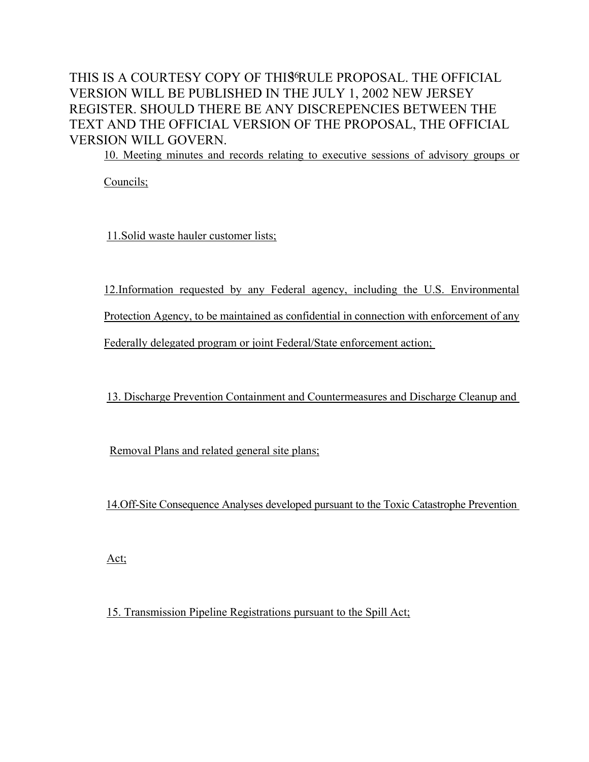10. Meeting minutes and records relating to executive sessions of advisory groups or

Councils;

11.Solid waste hauler customer lists;

12.Information requested by any Federal agency, including the U.S. Environmental

Protection Agency, to be maintained as confidential in connection with enforcement of any

Federally delegated program or joint Federal/State enforcement action;

13. Discharge Prevention Containment and Countermeasures and Discharge Cleanup and

Removal Plans and related general site plans;

14.Off-Site Consequence Analyses developed pursuant to the Toxic Catastrophe Prevention

Act;

15. Transmission Pipeline Registrations pursuant to the Spill Act;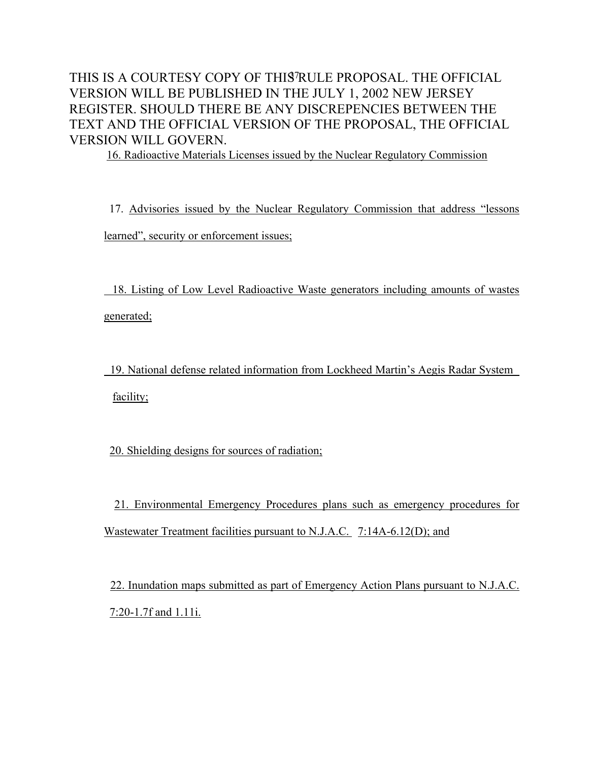16. Radioactive Materials Licenses issued by the Nuclear Regulatory Commission

 17. Advisories issued by the Nuclear Regulatory Commission that address "lessons learned", security or enforcement issues;

 18. Listing of Low Level Radioactive Waste generators including amounts of wastes generated;

 19. National defense related information from Lockheed Martin's Aegis Radar System facility;

20. Shielding designs for sources of radiation;

 21. Environmental Emergency Procedures plans such as emergency procedures for Wastewater Treatment facilities pursuant to N.J.A.C. 7:14A-6.12(D); and

 22. Inundation maps submitted as part of Emergency Action Plans pursuant to N.J.A.C. 7:20-1.7f and 1.11i.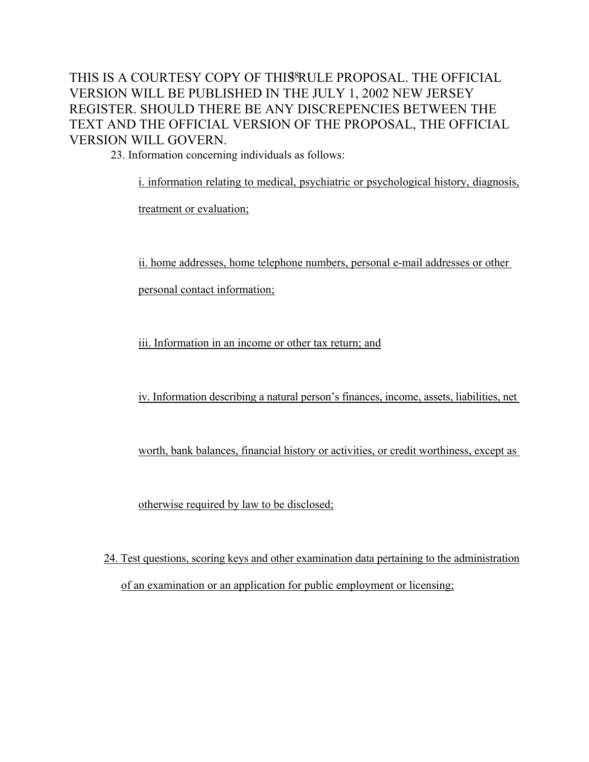23. Information concerning individuals as follows:

i. information relating to medical, psychiatric or psychological history, diagnosis,

treatment or evaluation;

ii. home addresses, home telephone numbers, personal e-mail addresses or other

personal contact information;

iii. Information in an income or other tax return; and

iv. Information describing a natural person's finances, income, assets, liabilities, net

worth, bank balances, financial history or activities, or credit worthiness, except as

otherwise required by law to be disclosed;

24. Test questions, scoring keys and other examination data pertaining to the administration of an examination or an application for public employment or licensing;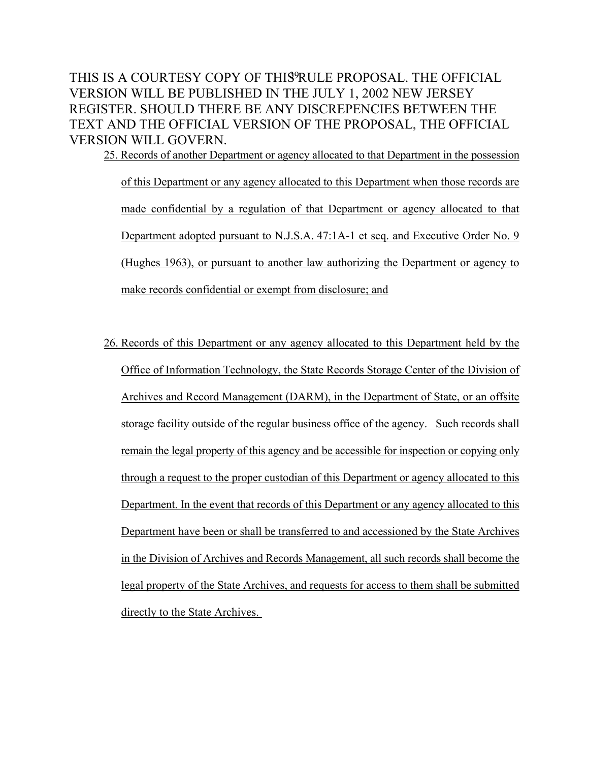25. Records of another Department or agency allocated to that Department in the possession of this Department or any agency allocated to this Department when those records are made confidential by a regulation of that Department or agency allocated to that Department adopted pursuant to N.J.S.A. 47:1A-1 et seq. and Executive Order No. 9 (Hughes 1963), or pursuant to another law authorizing the Department or agency to make records confidential or exempt from disclosure; and

26. Records of this Department or any agency allocated to this Department held by the Office of Information Technology, the State Records Storage Center of the Division of Archives and Record Management (DARM), in the Department of State, or an offsite storage facility outside of the regular business office of the agency. Such records shall remain the legal property of this agency and be accessible for inspection or copying only through a request to the proper custodian of this Department or agency allocated to this Department. In the event that records of this Department or any agency allocated to this Department have been or shall be transferred to and accessioned by the State Archives in the Division of Archives and Records Management, all such records shall become the legal property of the State Archives, and requests for access to them shall be submitted directly to the State Archives.